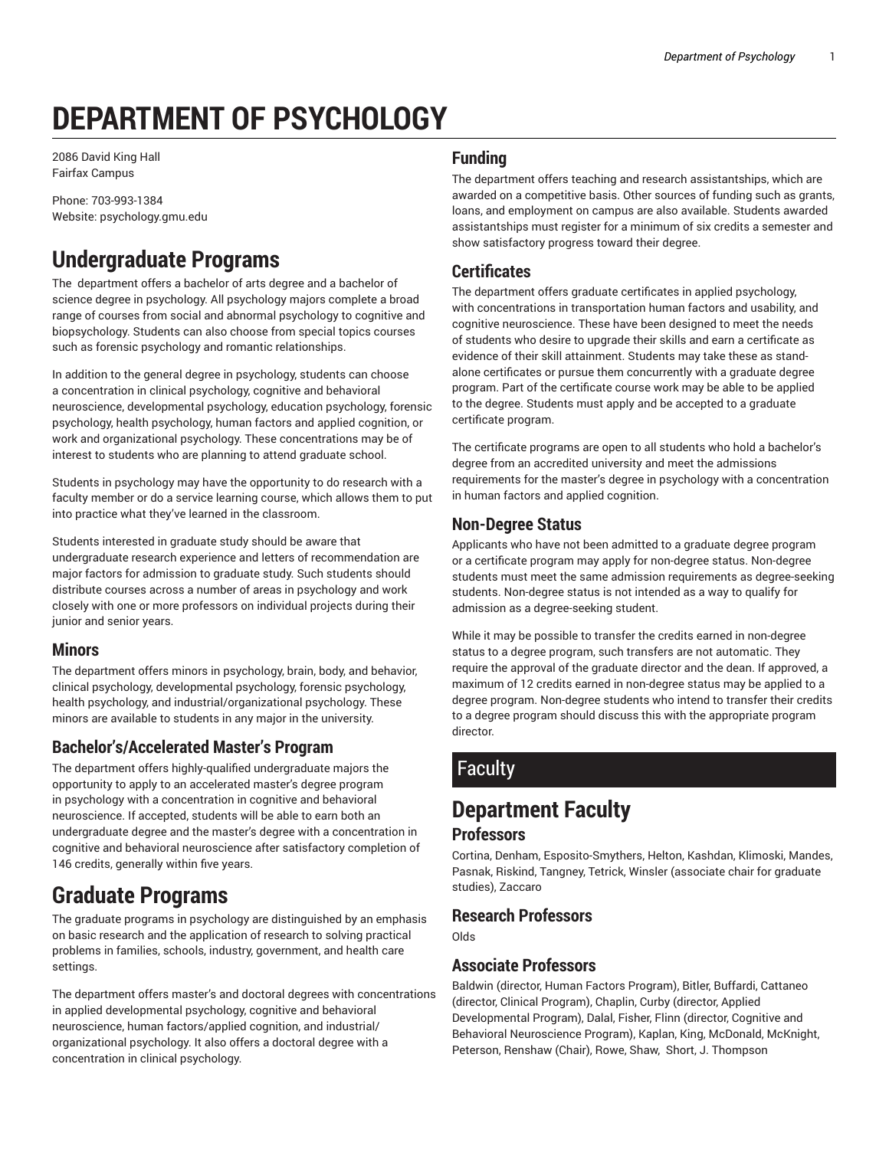# **DEPARTMENT OF PSYCHOLOGY**

2086 David King Hall Fairfax Campus

Phone: 703-993-1384 Website: psychology.gmu.edu

# **Undergraduate Programs**

The department offers a bachelor of arts degree and a bachelor of science degree in psychology. All psychology majors complete a broad range of courses from social and abnormal psychology to cognitive and biopsychology. Students can also choose from special topics courses such as forensic psychology and romantic relationships.

In addition to the general degree in psychology, students can choose a concentration in clinical psychology, cognitive and behavioral neuroscience, developmental psychology, education psychology, forensic psychology, health psychology, human factors and applied cognition, or work and organizational psychology. These concentrations may be of interest to students who are planning to attend graduate school.

Students in psychology may have the opportunity to do research with a faculty member or do a service learning course, which allows them to put into practice what they've learned in the classroom.

Students interested in graduate study should be aware that undergraduate research experience and letters of recommendation are major factors for admission to graduate study. Such students should distribute courses across a number of areas in psychology and work closely with one or more professors on individual projects during their junior and senior years.

#### **Minors**

The department offers minors in psychology, brain, body, and behavior, clinical psychology, developmental psychology, forensic psychology, health psychology, and industrial/organizational psychology. These minors are available to students in any major in the university.

## **Bachelor's/Accelerated Master's Program**

The department offers highly-qualified undergraduate majors the opportunity to apply to an accelerated master's degree program in psychology with a concentration in cognitive and behavioral neuroscience. If accepted, students will be able to earn both an undergraduate degree and the master's degree with a concentration in cognitive and behavioral neuroscience after satisfactory completion of 146 credits, generally within five years.

# **Graduate Programs**

The graduate programs in psychology are distinguished by an emphasis on basic research and the application of research to solving practical problems in families, schools, industry, government, and health care settings.

The department offers master's and doctoral degrees with concentrations in applied developmental psychology, cognitive and behavioral neuroscience, human factors/applied cognition, and industrial/ organizational psychology. It also offers a doctoral degree with a concentration in clinical psychology.

### **Funding**

The department offers teaching and research assistantships, which are awarded on a competitive basis. Other sources of funding such as grants, loans, and employment on campus are also available. Students awarded assistantships must register for a minimum of six credits a semester and show satisfactory progress toward their degree.

## **Certificates**

The department offers graduate certificates in applied psychology, with concentrations in transportation human factors and usability, and cognitive neuroscience. These have been designed to meet the needs of students who desire to upgrade their skills and earn a certificate as evidence of their skill attainment. Students may take these as standalone certificates or pursue them concurrently with a graduate degree program. Part of the certificate course work may be able to be applied to the degree. Students must apply and be accepted to a graduate certificate program.

The certificate programs are open to all students who hold a bachelor's degree from an accredited university and meet the admissions requirements for the master's degree in psychology with a concentration in human factors and applied cognition.

### **Non-Degree Status**

Applicants who have not been admitted to a graduate degree program or a certificate program may apply for non-degree status. Non-degree students must meet the same admission requirements as degree-seeking students. Non-degree status is not intended as a way to qualify for admission as a degree-seeking student.

While it may be possible to transfer the credits earned in non-degree status to a degree program, such transfers are not automatic. They require the approval of the graduate director and the dean. If approved, a maximum of 12 credits earned in non-degree status may be applied to a degree program. Non-degree students who intend to transfer their credits to a degree program should discuss this with the appropriate program director.

# Faculty

# **Department Faculty**

#### **Professors**

Cortina, Denham, Esposito-Smythers, Helton, Kashdan, Klimoski, Mandes, Pasnak, Riskind, Tangney, Tetrick, Winsler (associate chair for graduate studies), Zaccaro

#### **Research Professors**

Olds

#### **Associate Professors**

Baldwin (director, Human Factors Program), Bitler, Buffardi, Cattaneo (director, Clinical Program), Chaplin, Curby (director, Applied Developmental Program), Dalal, Fisher, Flinn (director, Cognitive and Behavioral Neuroscience Program), Kaplan, King, McDonald, McKnight, Peterson, Renshaw (Chair), Rowe, Shaw, Short, J. Thompson